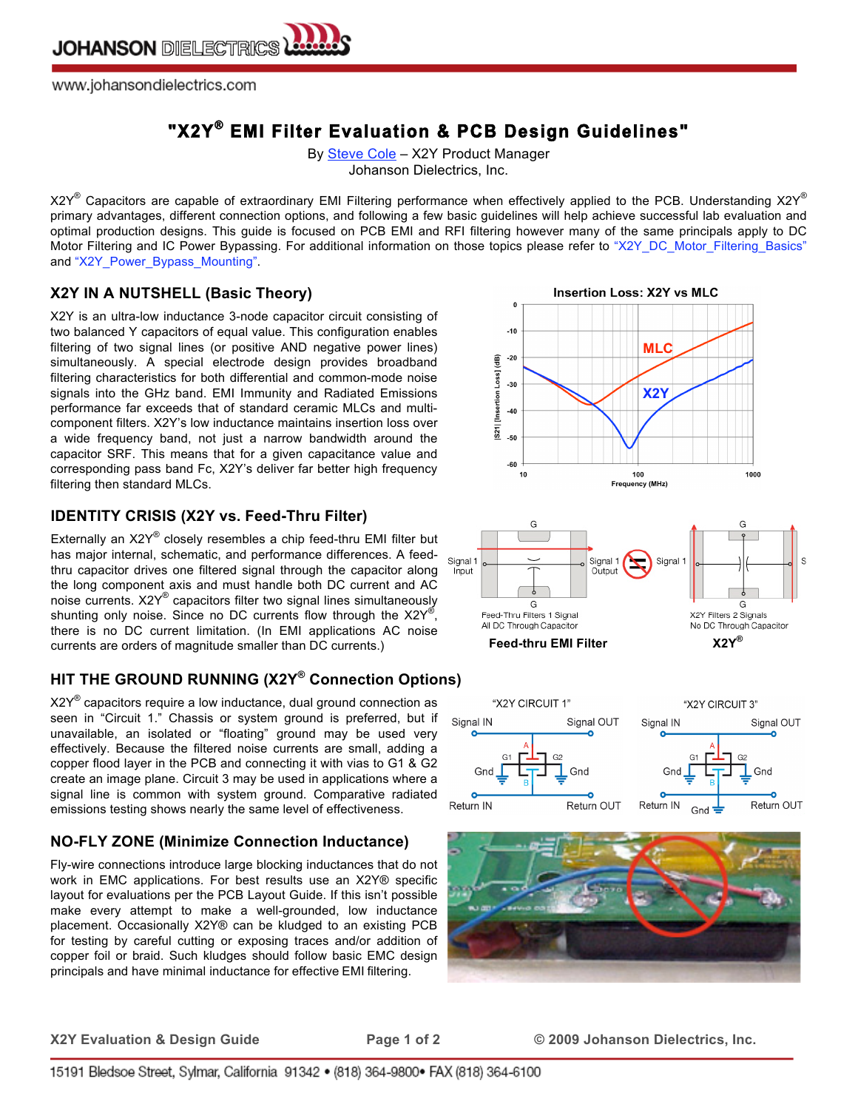

www.johansondielectrics.com

# **"X2Y® EMI Filter Evaluation & PCB Design Guidelines"**

By **Steve Cole** - X2Y Product Manager Johanson Dielectrics, Inc.

X2Y® Capacitors are capable of extraordinary EMI Filtering performance when effectively applied to the PCB. Understanding X2Y® primary advantages, different connection options, and following a few basic guidelines will help achieve successful lab evaluation and optimal production designs. This guide is focused on PCB EMI and RFI filtering however many of the same principals apply to DC Motor Filtering and IC Power Bypassing. For additional information on those topics please refer to "X2Y\_DC\_Motor\_Filtering\_Basics" and "X2Y\_Power\_Bypass\_Mounting".

### **X2Y IN A NUTSHELL (Basic Theory)**

X2Y is an ultra-low inductance 3-node capacitor circuit consisting of two balanced Y capacitors of equal value. This configuration enables filtering of two signal lines (or positive AND negative power lines) simultaneously. A special electrode design provides broadband filtering characteristics for both differential and common-mode noise signals into the GHz band. EMI Immunity and Radiated Emissions performance far exceeds that of standard ceramic MLCs and multicomponent filters. X2Y's low inductance maintains insertion loss over a wide frequency band, not just a narrow bandwidth around the capacitor SRF. This means that for a given capacitance value and corresponding pass band Fc, X2Y's deliver far better high frequency filtering then standard MLCs.

### **IDENTITY CRISIS (X2Y vs. Feed-Thru Filter)**

Externally an X2Y® closely resembles a chip feed-thru EMI filter but has major internal, schematic, and performance differences. A feedthru capacitor drives one filtered signal through the capacitor along the long component axis and must handle both DC current and AC noise currents. X2Y® capacitors filter two signal lines simultaneously shunting only noise. Since no DC currents flow through the  $X2Y^{\mathfrak{G}},$ there is no DC current limitation. (In EMI applications AC noise currents are orders of magnitude smaller than DC currents.) **Feed-thru EMI Filter X2Y®**

# **HIT THE GROUND RUNNING (X2Y® Connection Options)**

 $X2Y^{\circledast}$  capacitors require a low inductance, dual ground connection as seen in "Circuit 1." Chassis or system ground is preferred, but if unavailable, an isolated or "floating" ground may be used very effectively. Because the filtered noise currents are small, adding a copper flood layer in the PCB and connecting it with vias to G1 & G2 create an image plane. Circuit 3 may be used in applications where a signal line is common with system ground. Comparative radiated emissions testing shows nearly the same level of effectiveness.

### **NO-FLY ZONE (Minimize Connection Inductance)**

Fly-wire connections introduce large blocking inductances that do not work in EMC applications. For best results use an X2Y® specific layout for evaluations per the PCB Layout Guide. If this isn't possible make every attempt to make a well-grounded, low inductance placement. Occasionally X2Y® can be kludged to an existing PCB for testing by careful cutting or exposing traces and/or addition of copper foil or braid. Such kludges should follow basic EMC design principals and have minimal inductance for effective EMI filtering.









**X2Y Evaluation & Design Guide Page 1 of 2 © 2009 Johanson Dielectrics, Inc.**